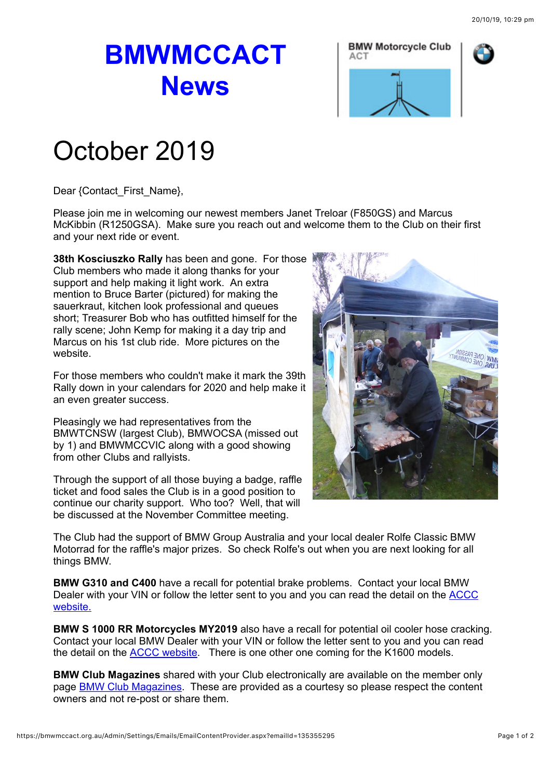## **BMWMCCACT News**





## October 2019

Dear {Contact\_First\_Name},

Please join me in welcoming our newest members Janet Treloar (F850GS) and Marcus McKibbin (R1250GSA). Make sure you reach out and welcome them to the Club on their first and your next ride or event.

**38th Kosciuszko Rally** has been and gone. For those Club members who made it along thanks for your support and help making it light work. An extra mention to Bruce Barter (pictured) for making the sauerkraut, kitchen look professional and queues short; Treasurer Bob who has outfitted himself for the rally scene; John Kemp for making it a day trip and Marcus on his 1st club ride. More pictures on the website.

For those members who couldn't make it mark the 39th Rally down in your calendars for 2020 and help make it an even greater success.

Pleasingly we had representatives from the BMWTCNSW (largest Club), BMWOCSA (missed out by 1) and BMWMCCVIC along with a good showing from other Clubs and rallyists.

Through the support of all those buying a badge, raffle ticket and food sales the Club is in a good position to continue our charity support. Who too? Well, that will be discussed at the November Committee meeting.



The Club had the support of BMW Group Australia and your local dealer Rolfe Classic BMW Motorrad for the raffle's major prizes. So check Rolfe's out when you are next looking for all things BMW.

**BMW G310 and C400** have a recall for potential brake problems. Contact your local BMW [Dealer with your VIN or follow the letter sent to you and you can read the detail on the ACCC](https://www.productsafety.gov.au/recall/bmw-australia-ltd-bmw-motorcycles-g-310-c-400-my2017-2019) website.

**BMW S 1000 RR Motorcycles MY2019** also have a recall for potential oil cooler hose cracking. Contact your local BMW Dealer with your VIN or follow the letter sent to you and you can read the detail on the [ACCC website](https://www.productsafety.gov.au/recall/bmw-australia-ltd-bmw-motorrad-s-1000-rr-motorcycles-my2019). There is one other one coming for the K1600 models.

**BMW Club Magazines** shared with your Club electronically are available on the member only page [BMW Club Magazines](https://bmwmccact.org.au/BMW-Club-Magazines). These are provided as a courtesy so please respect the content owners and not re-post or share them.